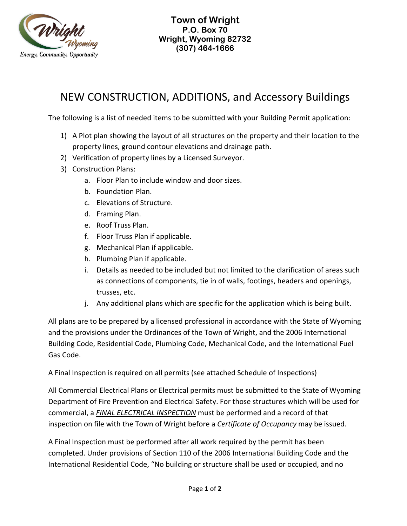

## NEW CONSTRUCTION, ADDITIONS, and Accessory Buildings

The following is a list of needed items to be submitted with your Building Permit application:

- 1) A Plot plan showing the layout of all structures on the property and their location to the property lines, ground contour elevations and drainage path.
- 2) Verification of property lines by a Licensed Surveyor.
- 3) Construction Plans:
	- a. Floor Plan to include window and door sizes.
	- b. Foundation Plan.
	- c. Elevations of Structure.
	- d. Framing Plan.
	- e. Roof Truss Plan.
	- f. Floor Truss Plan if applicable.
	- g. Mechanical Plan if applicable.
	- h. Plumbing Plan if applicable.
	- i. Details as needed to be included but not limited to the clarification of areas such as connections of components, tie in of walls, footings, headers and openings, trusses, etc.
	- j. Any additional plans which are specific for the application which is being built.

All plans are to be prepared by a licensed professional in accordance with the State of Wyoming and the provisions under the Ordinances of the Town of Wright, and the 2006 International Building Code, Residential Code, Plumbing Code, Mechanical Code, and the International Fuel Gas Code.

A Final Inspection is required on all permits (see attached Schedule of Inspections)

All Commercial Electrical Plans or Electrical permits must be submitted to the State of Wyoming Department of Fire Prevention and Electrical Safety. For those structures which will be used for commercial, a *FINAL ELECTRICAL INSPECTION* must be performed and a record of that inspection on file with the Town of Wright before a *Certificate of Occupancy* may be issued.

A Final Inspection must be performed after all work required by the permit has been completed. Under provisions of Section 110 of the 2006 International Building Code and the International Residential Code, "No building or structure shall be used or occupied, and no